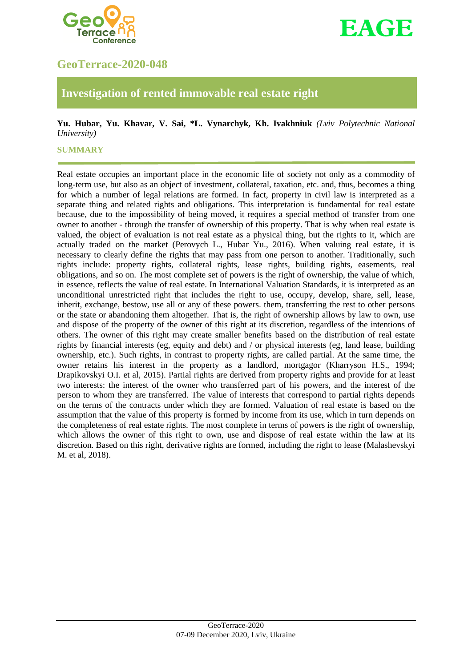



# **GeoTerrace-2020-048**

## **Investigation of rented immovable real estate right**

## **Yu. Hubar, Yu. Khavar, V. Sai, \*L. Vynarchyk, Kh. Ivakhniuk** *(Lviv Polytechnic National University)*

#### **SUMMARY**

Real estate occupies an important place in the economic life of society not only as a commodity of long-term use, but also as an object of investment, collateral, taxation, etc. and, thus, becomes a thing for which a number of legal relations are formed. In fact, property in civil law is interpreted as a separate thing and related rights and obligations. This interpretation is fundamental for real estate because, due to the impossibility of being moved, it requires a special method of transfer from one owner to another - through the transfer of ownership of this property. That is why when real estate is valued, the object of evaluation is not real estate as a physical thing, but the rights to it, which are actually traded on the market (Perovych L., Hubar Yu., 2016). When valuing real estate, it is necessary to clearly define the rights that may pass from one person to another. Traditionally, such rights include: property rights, collateral rights, lease rights, building rights, easements, real obligations, and so on. The most complete set of powers is the right of ownership, the value of which, in essence, reflects the value of real estate. In International Valuation Standards, it is interpreted as an unconditional unrestricted right that includes the right to use, occupy, develop, share, sell, lease, inherit, exchange, bestow, use all or any of these powers. them, transferring the rest to other persons or the state or abandoning them altogether. That is, the right of ownership allows by law to own, use and dispose of the property of the owner of this right at its discretion, regardless of the intentions of others. The owner of this right may create smaller benefits based on the distribution of real estate rights by financial interests (eg, equity and debt) and / or physical interests (eg, land lease, building ownership, etc.). Such rights, in contrast to property rights, are called partial. At the same time, the owner retains his interest in the property as a landlord, mortgagor (Kharryson H.S., 1994; Drapikovskyi O.I. et al, 2015). Partial rights are derived from property rights and provide for at least two interests: the interest of the owner who transferred part of his powers, and the interest of the person to whom they are transferred. The value of interests that correspond to partial rights depends on the terms of the contracts under which they are formed. Valuation of real estate is based on the assumption that the value of this property is formed by income from its use, which in turn depends on the completeness of real estate rights. The most complete in terms of powers is the right of ownership, which allows the owner of this right to own, use and dispose of real estate within the law at its discretion. Based on this right, derivative rights are formed, including the right to lease (Malashevskyi M. et al, 2018).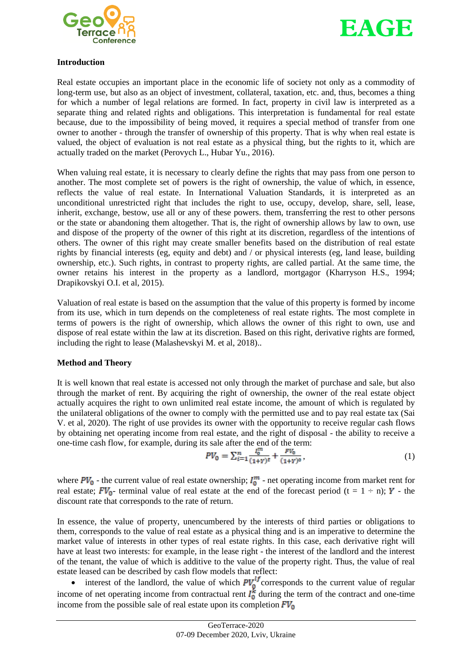



## **Introduction**

Real estate occupies an important place in the economic life of society not only as a commodity of long-term use, but also as an object of investment, collateral, taxation, etc. and, thus, becomes a thing for which a number of legal relations are formed. In fact, property in civil law is interpreted as a separate thing and related rights and obligations. This interpretation is fundamental for real estate because, due to the impossibility of being moved, it requires a special method of transfer from one owner to another - through the transfer of ownership of this property. That is why when real estate is valued, the object of evaluation is not real estate as a physical thing, but the rights to it, which are actually traded on the market (Perovych L., Hubar Yu., 2016).

When valuing real estate, it is necessary to clearly define the rights that may pass from one person to another. The most complete set of powers is the right of ownership, the value of which, in essence, reflects the value of real estate. In International Valuation Standards, it is interpreted as an unconditional unrestricted right that includes the right to use, occupy, develop, share, sell, lease, inherit, exchange, bestow, use all or any of these powers. them, transferring the rest to other persons or the state or abandoning them altogether. That is, the right of ownership allows by law to own, use and dispose of the property of the owner of this right at its discretion, regardless of the intentions of others. The owner of this right may create smaller benefits based on the distribution of real estate rights by financial interests (eg, equity and debt) and / or physical interests (eg, land lease, building ownership, etc.). Such rights, in contrast to property rights, are called partial. At the same time, the owner retains his interest in the property as a landlord, mortgagor (Kharryson H.S., 1994; Drapikovskyi O.I. et al, 2015).

Valuation of real estate is based on the assumption that the value of this property is formed by income from its use, which in turn depends on the completeness of real estate rights. The most complete in terms of powers is the right of ownership, which allows the owner of this right to own, use and dispose of real estate within the law at its discretion. Based on this right, derivative rights are formed, including the right to lease (Malashevskyi M. et al, 2018)..

## **Method and Theory**

It is well known that real estate is accessed not only through the market of purchase and sale, but also through the market of rent. By acquiring the right of ownership, the owner of the real estate object actually acquires the right to own unlimited real estate income, the amount of which is regulated by the unilateral obligations of the owner to comply with the permitted use and to pay real estate tax (Sai V. et al, 2020). The right of use provides its owner with the opportunity to receive regular cash flows by obtaining net operating income from real estate, and the right of disposal - the ability to receive a one-time cash flow, for example, during its sale after the end of the term:

$$
PV_0 = \sum_{i=1}^{n} \frac{l_0^m}{(1+Y)^t} + \frac{FV_0}{(1+Y)^0},
$$
\n(1)

where  $PV_0$  - the current value of real estate ownership;  $I_0^m$  - net operating income from market rent for real estate;  $FV_0$ - terminal value of real estate at the end of the forecast period (t = 1 ÷ n); Y - the discount rate that corresponds to the rate of return.

In essence, the value of property, unencumbered by the interests of third parties or obligations to them, corresponds to the value of real estate as a physical thing and is an imperative to determine the market value of interests in other types of real estate rights. In this case, each derivative right will have at least two interests: for example, in the lease right - the interest of the landlord and the interest of the tenant, the value of which is additive to the value of the property right. Thus, the value of real estate leased can be described by cash flow models that reflect:

• interest of the landlord, the value of which  $PV_0^{U}$  corresponds to the current value of regular income of net operating income from contractual rent  $l_0^k$  during the term of the contract and one-time income from the possible sale of real estate upon its completion  $FV_0$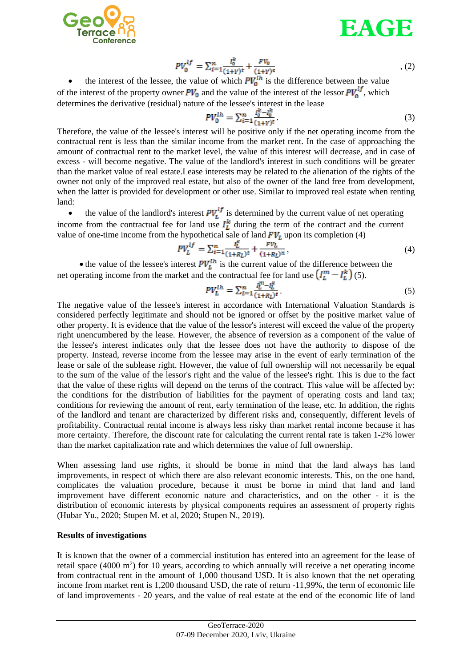



$$
PV_0^{lf} = \sum_{i=1}^n \frac{I_0^k}{(1+Y)^t} + \frac{FV_0}{(1+Y)^0}
$$
 (2)

the interest of the lessee, the value of which  $PV_0^{th}$  is the difference between the value of the interest of the property owner  $PV_0$  and the value of the interest of the lessor  $PV_0^{lf}$ , which determines the derivative (residual) nature of the lessee's interest in the lease

$$
PV_0^{lh} = \sum_{i=1}^n \frac{I_0^k - I_0^k}{(1+r)^t}.
$$
\n(3)

Therefore, the value of the lessee's interest will be positive only if the net operating income from the contractual rent is less than the similar income from the market rent. In the case of approaching the amount of contractual rent to the market level, the value of this interest will decrease, and in case of excess - will become negative. The value of the landlord's interest in such conditions will be greater than the market value of real estate.Lease interests may be related to the alienation of the rights of the owner not only of the improved real estate, but also of the owner of the land free from development, when the latter is provided for development or other use. Similar to improved real estate when renting land:

• the value of the landlord's interest  $PV<sub>L</sub><sup>ij</sup>$  is determined by the current value of net operating income from the contractual fee for land use  $I_L^{\kappa}$  during the term of the contract and the current value of one-time income from the hypothetical sale of land  $FV_L$  upon its completion (4)

$$
PV_L^{1f} = \sum_{i=1}^n \frac{I_L^k}{(1+R_L)^t} + \frac{FV_L}{(1+R_L)^n},\tag{4}
$$

• the value of the lessee's interest  $PU<sub>L</sub><sup>th</sup>$  is the current value of the difference between the net operating income from the market and the contractual fee for land use  $(I_L^m - I_L^k)(5)$ .

$$
PV_L^{1h} = \sum_{i=1}^n \frac{I_L^{m} - I_L^k}{(1 + R_L)^t} \tag{5}
$$

The negative value of the lessee's interest in accordance with International Valuation Standards is considered perfectly legitimate and should not be ignored or offset by the positive market value of other property. It is evidence that the value of the lessor's interest will exceed the value of the property right unencumbered by the lease. However, the absence of reversion as a component of the value of the lessee's interest indicates only that the lessee does not have the authority to dispose of the property. Instead, reverse income from the lessee may arise in the event of early termination of the lease or sale of the sublease right. However, the value of full ownership will not necessarily be equal to the sum of the value of the lessor's right and the value of the lessee's right. This is due to the fact that the value of these rights will depend on the terms of the contract. This value will be affected by: the conditions for the distribution of liabilities for the payment of operating costs and land tax; conditions for reviewing the amount of rent, early termination of the lease, etc. In addition, the rights of the landlord and tenant are characterized by different risks and, consequently, different levels of profitability. Contractual rental income is always less risky than market rental income because it has more certainty. Therefore, the discount rate for calculating the current rental rate is taken 1-2% lower than the market capitalization rate and which determines the value of full ownership.

When assessing land use rights, it should be borne in mind that the land always has land improvements, in respect of which there are also relevant economic interests. This, on the one hand, complicates the valuation procedure, because it must be borne in mind that land and land improvement have different economic nature and characteristics, and on the other - it is the distribution of economic interests by physical components requires an assessment of property rights (Hubar Yu., 2020; Stupen M. et al, 2020; Stupen N., 2019).

#### **Results of investigations**

It is known that the owner of a commercial institution has entered into an agreement for the lease of retail space  $(4000 \text{ m}^2)$  for 10 years, according to which annually will receive a net operating income from contractual rent in the amount of 1,000 thousand USD. It is also known that the net operating income from market rent is 1,200 thousand USD, the rate of return -11,99%, the term of economic life of land improvements - 20 years, and the value of real estate at the end of the economic life of land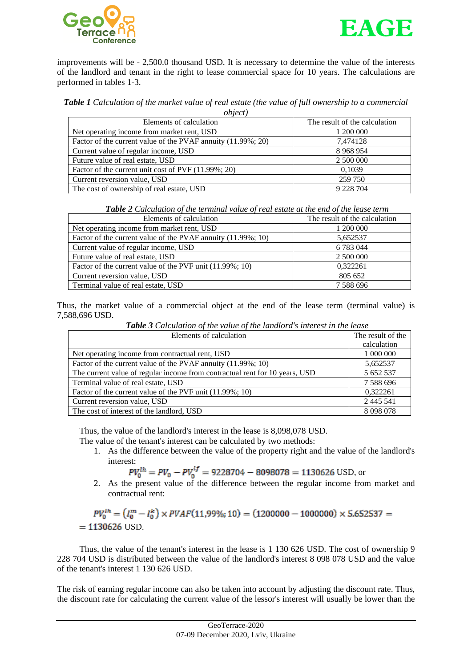



improvements will be - 2,500.0 thousand USD. It is necessary to determine the value of the interests of the landlord and tenant in the right to lease commercial space for 10 years. The calculations are performed in tables 1-3.

**Table 1** Calculation of the market value of real estate (the value of full ownership to a commercial *object)*

| $00$ <sub><math>l</math></sub> $l$ $l$ $l$                   |                               |  |
|--------------------------------------------------------------|-------------------------------|--|
| Elements of calculation                                      | The result of the calculation |  |
| Net operating income from market rent, USD                   | 1 200 000                     |  |
| Factor of the current value of the PVAF annuity (11.99%; 20) | 7,474128                      |  |
| Current value of regular income, USD                         | 8 9 6 8 9 5 4                 |  |
| Future value of real estate, USD                             | 2 500 000                     |  |
| Factor of the current unit cost of PVF (11.99%; 20)          | 0,1039                        |  |
| Current reversion value, USD                                 | 259 750                       |  |
| The cost of ownership of real estate, USD                    | 9 2 2 8 7 0 4                 |  |

*Table 2 Calculation of the terminal value of real estate at the end of the lease term*

| Elements of calculation                                      | The result of the calculation |  |
|--------------------------------------------------------------|-------------------------------|--|
| Net operating income from market rent, USD                   | 1 200 000                     |  |
| Factor of the current value of the PVAF annuity (11.99%; 10) | 5,652537                      |  |
| Current value of regular income, USD                         | 6 7 8 3 0 4 4                 |  |
| Future value of real estate, USD                             | 2 500 000                     |  |
| Factor of the current value of the PVF unit (11.99%; 10)     | 0.322261                      |  |
| Current reversion value, USD                                 | 805 652                       |  |
| Terminal value of real estate, USD                           | 7 5 8 8 6 9 6                 |  |

Thus, the market value of a commercial object at the end of the lease term (terminal value) is 7,588,696 USD.

| Elements of calculation                                                     | The result of the |
|-----------------------------------------------------------------------------|-------------------|
|                                                                             | calculation       |
| Net operating income from contractual rent, USD                             | 1 000 000         |
| Factor of the current value of the PVAF annuity (11.99%; 10)                | 5,652537          |
| The current value of regular income from contractual rent for 10 years, USD | 5 652 537         |
| Terminal value of real estate, USD                                          | 7 588 696         |
| Factor of the current value of the PVF unit (11.99%; 10)                    | 0.322261          |
| Current reversion value, USD                                                | 2 4 4 5 5 4 1     |
| The cost of interest of the landlord, USD                                   | 8 0 9 8 0 7 8     |

*Table 3 Calculation of the value of the landlord's interest in the lease*

Thus, the value of the landlord's interest in the lease is 8,098,078 USD.

- The value of the tenant's interest can be calculated by two methods:
	- 1. As the difference between the value of the property right and the value of the landlord's interest:

$$
PV_0^{1h} = PV_0 - PV_0^{1f} = 9228704 - 8098078 = 1130626
$$
 USD, or

2. As the present value of the difference between the regular income from market and contractual rent:

$$
PV_0^{1h} = (I_0^m - I_0^k) \times PVAF(11,99\%;10) = (1200000 - 1000000) \times 5.652537 = 1130626
$$
 USD.

Thus, the value of the tenant's interest in the lease is 1 130 626 USD. The cost of ownership 9 228 704 USD is distributed between the value of the landlord's interest 8 098 078 USD and the value of the tenant's interest 1 130 626 USD.

The risk of earning regular income can also be taken into account by adjusting the discount rate. Thus, the discount rate for calculating the current value of the lessor's interest will usually be lower than the